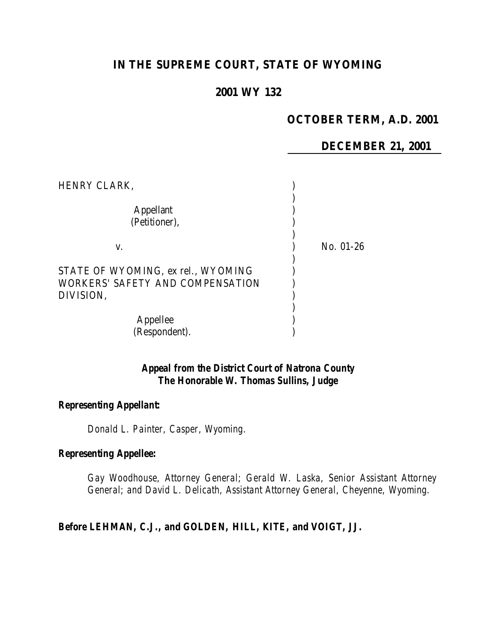# **IN THE SUPREME COURT, STATE OF WYOMING**

### **2001 WY 132**

# **OCTOBER TERM, A.D. 2001**

### **DECEMBER 21, 2001**

| HENRY CLARK,                                                                        |             |  |
|-------------------------------------------------------------------------------------|-------------|--|
| <b>Appellant</b><br>(Petitioner),                                                   |             |  |
| V.                                                                                  | $No. 01-26$ |  |
| STATE OF WYOMING, ex rel., WYOMING<br>WORKERS' SAFETY AND COMPENSATION<br>DIVISION, |             |  |
| Appellee<br>(Respondent).                                                           |             |  |

# *Appeal from the District Court of Natrona County The Honorable W. Thomas Sullins, Judge*

### *Representing Appellant:*

*Donald L. Painter, Casper, Wyoming.*

### *Representing Appellee:*

*Gay Woodhouse, Attorney General; Gerald W. Laska, Senior Assistant Attorney General; and David L. Delicath, Assistant Attorney General, Cheyenne, Wyoming.*

#### *Before LEHMAN, C.J., and GOLDEN, HILL, KITE, and VOIGT, JJ.*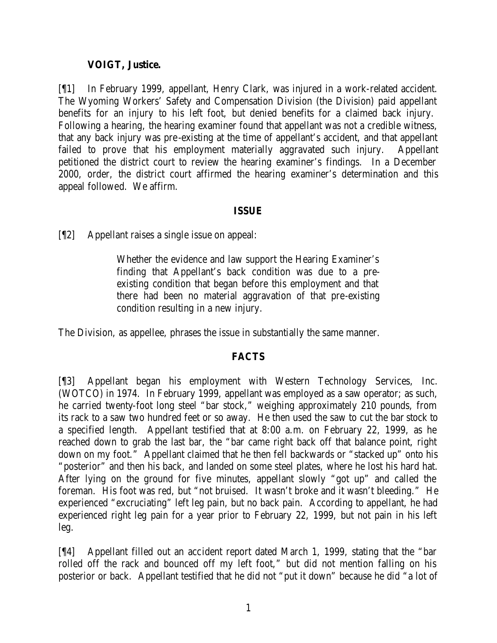# **VOIGT, Justice.**

[¶1] In February 1999, appellant, Henry Clark, was injured in a work-related accident. The Wyoming Workers' Safety and Compensation Division (the Division) paid appellant benefits for an injury to his left foot, but denied benefits for a claimed back injury. Following a hearing, the hearing examiner found that appellant was not a credible witness, that any back injury was pre-existing at the time of appellant's accident, and that appellant failed to prove that his employment materially aggravated such injury. Appellant petitioned the district court to review the hearing examiner's findings. In a December 2000, order, the district court affirmed the hearing examiner's determination and this appeal followed. We affirm.

# **ISSUE**

[¶2] Appellant raises a single issue on appeal:

Whether the evidence and law support the Hearing Examiner's finding that Appellant's back condition was due to a preexisting condition that began before this employment and that there had been no material aggravation of that pre-existing condition resulting in a new injury.

The Division, as appellee, phrases the issue in substantially the same manner.

# **FACTS**

[¶3] Appellant began his employment with Western Technology Services, Inc. (WOTCO) in 1974. In February 1999, appellant was employed as a saw operator; as such, he carried twenty-foot long steel "bar stock," weighing approximately 210 pounds, from its rack to a saw two hundred feet or so away. He then used the saw to cut the bar stock to a specified length. Appellant testified that at 8:00 a.m. on February 22, 1999, as he reached down to grab the last bar, the "bar came right back off that balance point, right down on my foot." Appellant claimed that he then fell backwards or "stacked up" onto his "posterior" and then his back, and landed on some steel plates, where he lost his hard hat. After lying on the ground for five minutes, appellant slowly "got up" and called the foreman. His foot was red, but "not bruised. It wasn't broke and it wasn't bleeding." He experienced "excruciating" left leg pain, but no back pain. According to appellant, he had experienced right leg pain for a year prior to February 22, 1999, but not pain in his left leg.

[¶4] Appellant filled out an accident report dated March 1, 1999, stating that the "bar rolled off the rack and bounced off my left foot," but did not mention falling on his posterior or back. Appellant testified that he did not "put it down" because he did "a lot of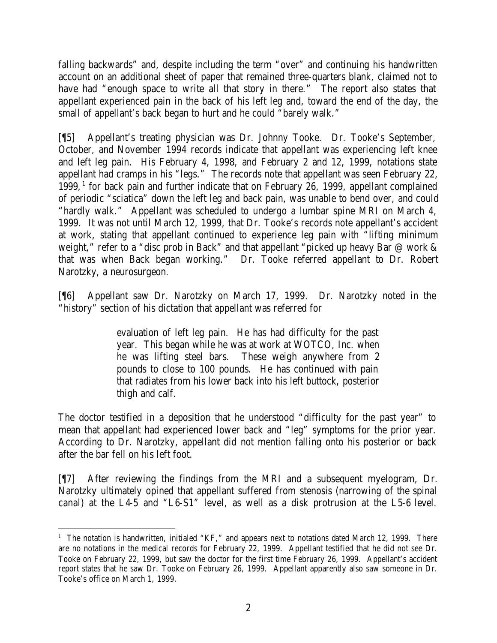falling backwards" and, despite including the term "over" and continuing his handwritten account on an additional sheet of paper that remained three-quarters blank, claimed not to have had "enough space to write all that story in there." The report also states that appellant experienced pain in the back of his left leg and, toward the end of the day, the small of appellant's back began to hurt and he could "barely walk."

[¶5] Appellant's treating physician was Dr. Johnny Tooke. Dr. Tooke's September, October, and November 1994 records indicate that appellant was experiencing left knee and left leg pain. His February 4, 1998, and February 2 and 12, 1999, notations state appellant had cramps in his "legs." The records note that appellant was seen February 22, 1999,<sup>1</sup> for back pain and further indicate that on February 26, 1999, appellant complained of periodic "sciatica" down the left leg and back pain, was unable to bend over, and could "hardly walk." Appellant was scheduled to undergo a lumbar spine MRI on March 4, 1999. It was not until March 12, 1999, that Dr. Tooke's records note appellant's accident at work, stating that appellant continued to experience leg pain with "lifting minimum weight," refer to a "disc prob in Back" and that appellant "picked up heavy Bar @ work & that was when Back began working." Dr. Tooke referred appellant to Dr. Robert Narotzky, a neurosurgeon.

[¶6] Appellant saw Dr. Narotzky on March 17, 1999. Dr. Narotzky noted in the "history" section of his dictation that appellant was referred for

> evaluation of left leg pain. He has had difficulty for the past year. This began while he was at work at WOTCO, Inc. when he was lifting steel bars. These weigh anywhere from 2 pounds to close to 100 pounds. He has continued with pain that radiates from his lower back into his left buttock, posterior thigh and calf.

The doctor testified in a deposition that he understood "difficulty for the past year" to mean that appellant had experienced lower back and "leg" symptoms for the prior year. According to Dr. Narotzky, appellant did not mention falling onto his posterior or back after the bar fell on his left foot.

[¶7] After reviewing the findings from the MRI and a subsequent myelogram, Dr. Narotzky ultimately opined that appellant suffered from stenosis (narrowing of the spinal canal) at the L4-5 and "L6-S1" level, as well as a disk protrusion at the L5-6 level.

 <sup>1</sup> The notation is handwritten, initialed "KF," and appears next to notations dated March 12, 1999. There are no notations in the medical records for February 22, 1999. Appellant testified that he did not see Dr. Tooke on February 22, 1999, but saw the doctor for the first time February 26, 1999. Appellant's accident report states that he saw Dr. Tooke on February 26, 1999. Appellant apparently also saw someone in Dr. Tooke's office on March 1, 1999.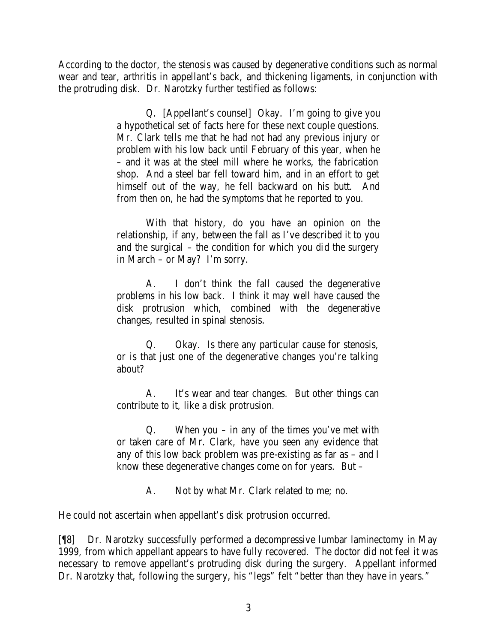According to the doctor, the stenosis was caused by degenerative conditions such as normal wear and tear, arthritis in appellant's back, and thickening ligaments, in conjunction with the protruding disk. Dr. Narotzky further testified as follows:

> Q. [Appellant's counsel] Okay. I'm going to give you a hypothetical set of facts here for these next couple questions. Mr. Clark tells me that he had not had any previous injury or problem with his low back until February of this year, when he – and it was at the steel mill where he works, the fabrication shop. And a steel bar fell toward him, and in an effort to get himself out of the way, he fell backward on his butt. And from then on, he had the symptoms that he reported to you.

> With that history, do you have an opinion on the relationship, if any, between the fall as I've described it to you and the surgical – the condition for which you did the surgery in March – or May? I'm sorry.

> A. I don't think the fall caused the degenerative problems in his low back. I think it may well have caused the disk protrusion which, combined with the degenerative changes, resulted in spinal stenosis.

> Q. Okay. Is there any particular cause for stenosis, or is that just one of the degenerative changes you're talking about?

> A. It's wear and tear changes. But other things can contribute to it, like a disk protrusion.

> Q. When you – in any of the times you've met with or taken care of Mr. Clark, have you seen any evidence that any of this low back problem was pre-existing as far as – and I know these degenerative changes come on for years. But –

> > A. Not by what Mr. Clark related to me; no.

He could not ascertain when appellant's disk protrusion occurred.

[¶8] Dr. Narotzky successfully performed a decompressive lumbar laminectomy in May 1999, from which appellant appears to have fully recovered. The doctor did not feel it was necessary to remove appellant's protruding disk during the surgery. Appellant informed Dr. Narotzky that, following the surgery, his "legs" felt "better than they have in years."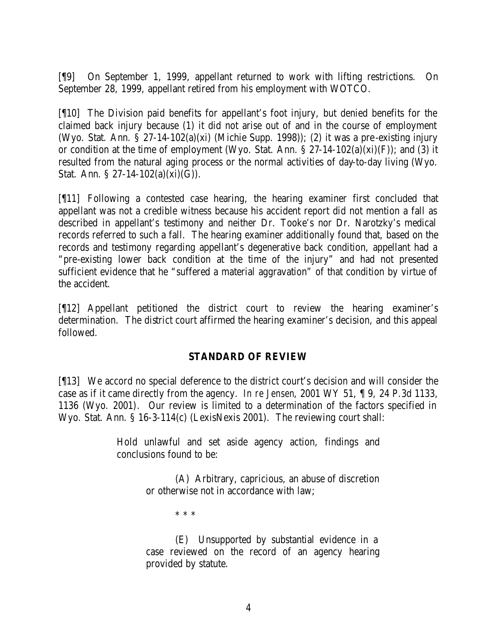[¶9] On September 1, 1999, appellant returned to work with lifting restrictions. On September 28, 1999, appellant retired from his employment with WOTCO.

[¶10] The Division paid benefits for appellant's foot injury, but denied benefits for the claimed back injury because (1) it did not arise out of and in the course of employment (Wyo. Stat. Ann. § 27-14-102(a)(xi) (Michie Supp. 1998)); (2) it was a pre-existing injury or condition at the time of employment (Wyo. Stat. Ann.  $\S 27-14-102(a)(xi)(F)$ ); and (3) it resulted from the natural aging process or the normal activities of day-to-day living (Wyo. Stat. Ann.  $\S 27 - 14 - 102(a)(xi)(G)$ .

[¶11] Following a contested case hearing, the hearing examiner first concluded that appellant was not a credible witness because his accident report did not mention a fall as described in appellant's testimony and neither Dr. Tooke's nor Dr. Narotzky's medical records referred to such a fall. The hearing examiner additionally found that, based on the records and testimony regarding appellant's degenerative back condition, appellant had a "pre-existing lower back condition at the time of the injury" and had not presented sufficient evidence that he "suffered a material aggravation" of that condition by virtue of the accident.

[¶12] Appellant petitioned the district court to review the hearing examiner's determination. The district court affirmed the hearing examiner's decision, and this appeal followed.

# **STANDARD OF REVIEW**

[¶13] We accord no special deference to the district court's decision and will consider the case as if it came directly from the agency. *In re Jensen*, 2001 WY 51, ¶ 9, 24 P.3d 1133, 1136 (Wyo. 2001). Our review is limited to a determination of the factors specified in Wyo. Stat. Ann. § 16-3-114(c) (LexisNexis 2001). The reviewing court shall:

> Hold unlawful and set aside agency action, findings and conclusions found to be:

> > (A) Arbitrary, capricious, an abuse of discretion or otherwise not in accordance with law;

> > > \* \* \*

(E) Unsupported by substantial evidence in a case reviewed on the record of an agency hearing provided by statute.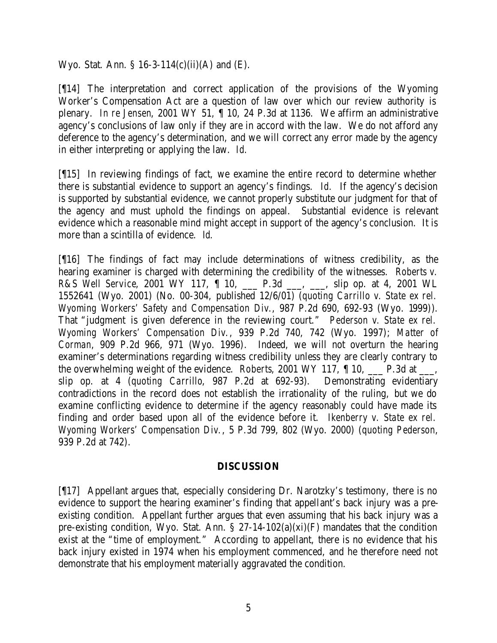Wyo. Stat. Ann. § 16-3-114(c)(ii)(A) and (E).

[¶14] The interpretation and correct application of the provisions of the Wyoming Worker's Compensation Act are a question of law over which our review authority is plenary. *In re Jensen*, 2001 WY 51, ¶ 10, 24 P.3d at 1136. We affirm an administrative agency's conclusions of law only if they are in accord with the law. We do not afford any deference to the agency's determination, and we will correct any error made by the agency in either interpreting or applying the law. *Id.*

[¶15] In reviewing findings of fact, we examine the entire record to determine whether there is substantial evidence to support an agency's findings. *Id.* If the agency's decision is supported by substantial evidence, we cannot properly substitute our judgment for that of the agency and must uphold the findings on appeal. Substantial evidence is relevant evidence which a reasonable mind might accept in support of the agency's conclusion. It is more than a scintilla of evidence. *Id.*

[¶16] The findings of fact may include determinations of witness credibility, as the hearing examiner is charged with determining the credibility of the witnesses. *Roberts v. R&S Well Service*, 2001 WY 117, ¶ 10, \_\_\_ P.3d \_\_\_, \_\_\_, slip op. at 4, 2001 WL 1552641 (Wyo. 2001) (No. 00-304, published 12/6/01) (*quoting Carrillo v. State ex rel. Wyoming Workers' Safety and Compensation Div.*, 987 P.2d 690, 692-93 (Wyo. 1999)). That "judgment is given deference in the reviewing court." *Pederson v. State ex rel. Wyoming Workers' Compensation Div.*, 939 P.2d 740, 742 (Wyo. 1997); *Matter of Corman*, 909 P.2d 966, 971 (Wyo. 1996). Indeed, we will not overturn the hearing examiner's determinations regarding witness credibility unless they are clearly contrary to the overwhelming weight of the evidence. *Roberts*, 2001 WY 117,  $\parallel$  10,  $\parallel$  P.3d at  $\parallel$ , slip op. at 4 (*quoting Carrillo*, 987 P.2d at 692-93). Demonstrating evidentiary contradictions in the record does not establish the irrationality of the ruling, but we do examine conflicting evidence to determine if the agency reasonably could have made its finding and order based upon all of the evidence before it. *Ikenberry v. State ex rel. Wyoming Workers' Compensation Div.*, 5 P.3d 799, 802 (Wyo. 2000) (*quoting Pederson*, 939 P.2d at 742).

### **DISCUSSION**

[¶17] Appellant argues that, especially considering Dr. Narotzky's testimony, there is no evidence to support the hearing examiner's finding that appellant's back injury was a preexisting condition. Appellant further argues that even assuming that his back injury was a pre-existing condition, Wyo. Stat. Ann.  $\S 27-14-102(a)(xi)(F)$  mandates that the condition exist at the "time of employment." According to appellant, there is no evidence that his back injury existed in 1974 when his employment commenced, and he therefore need not demonstrate that his employment materially aggravated the condition.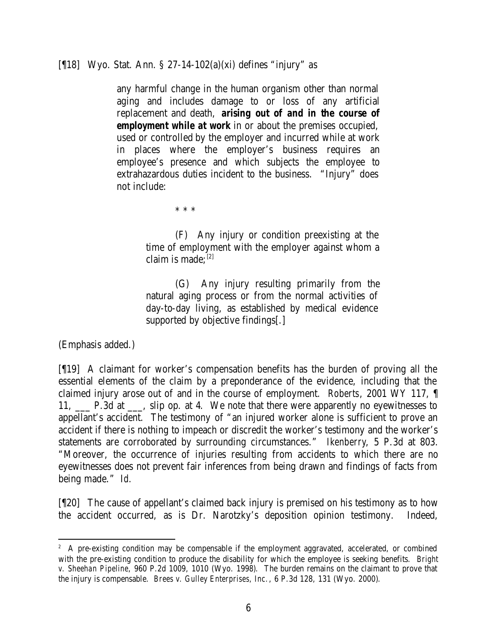[¶18] Wyo. Stat. Ann. § 27-14-102(a)(xi) defines "injury" as

any harmful change in the human organism other than normal aging and includes damage to or loss of any artificial replacement and death, *arising out of and in the course of employment while at work* in or about the premises occupied, used or controlled by the employer and incurred while at work in places where the employer's business requires an employee's presence and which subjects the employee to extrahazardous duties incident to the business. "Injury" does not include:

\* \* \*

(F) Any injury or condition preexisting at the time of employment with the employer against whom a claim is made: $[2]$ 

(G) Any injury resulting primarily from the natural aging process or from the normal activities of day-to-day living, as established by medical evidence supported by objective findings[.]

(Emphasis added.)

[¶19] A claimant for worker's compensation benefits has the burden of proving all the essential elements of the claim by a preponderance of the evidence, including that the claimed injury arose out of and in the course of employment. *Roberts*, 2001 WY 117, ¶ 11, \_\_\_ P.3d at \_\_\_, slip op. at 4. We note that there were apparently no eyewitnesses to appellant's accident. The testimony of "an injured worker alone is sufficient to prove an accident if there is nothing to impeach or discredit the worker's testimony and the worker's statements are corroborated by surrounding circumstances." *Ikenberry*, 5 P.3d at 803. "Moreover, the occurrence of injuries resulting from accidents to which there are no eyewitnesses does not prevent fair inferences from being drawn and findings of facts from being made." *Id.*

[¶20] The cause of appellant's claimed back injury is premised on his testimony as to how the accident occurred, as is Dr. Narotzky's deposition opinion testimony. Indeed,

<sup>&</sup>lt;sup>2</sup> A pre-existing condition may be compensable if the employment aggravated, accelerated, or combined with the pre-existing condition to produce the disability for which the employee is seeking benefits. *Bright v. Sheehan Pipeline*, 960 P.2d 1009, 1010 (Wyo. 1998). The burden remains on the claimant to prove that the injury is compensable. *Brees v. Gulley Enterprises, Inc.*, 6 P.3d 128, 131 (Wyo. 2000).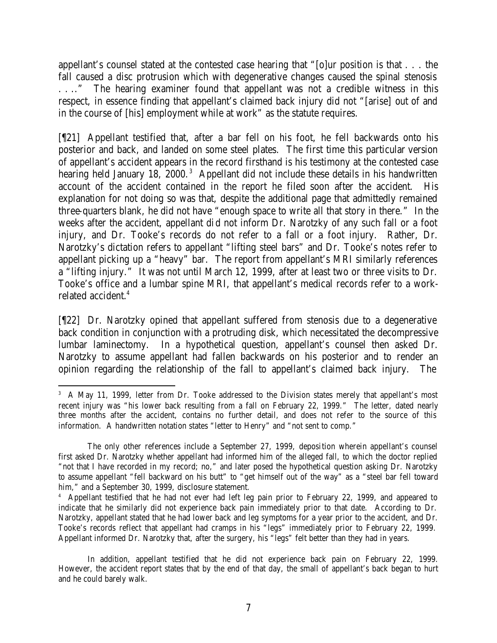appellant's counsel stated at the contested case hearing that "[o]ur position is that . . . the fall caused a disc protrusion which with degenerative changes caused the spinal stenosis . . .." The hearing examiner found that appellant was not a credible witness in this respect, in essence finding that appellant's claimed back injury did not "[arise] out of and in the course of [his] employment while at work" as the statute requires.

[¶21] Appellant testified that, after a bar fell on his foot, he fell backwards onto his posterior and back, and landed on some steel plates. The first time this particular version of appellant's accident appears in the record firsthand is his testimony at the contested case hearing held January 18, 2000.<sup>3</sup> Appellant did not include these details in his handwritten account of the accident contained in the report he filed soon after the accident. His explanation for not doing so was that, despite the additional page that admittedly remained three-quarters blank, he did not have "enough space to write all that story in there." In the weeks after the accident, appellant did not inform Dr. Narotzky of any such fall or a foot injury, and Dr. Tooke's records do not refer to a fall or a foot injury. Rather, Dr. Narotzky's dictation refers to appellant "lifting steel bars" and Dr. Tooke's notes refer to appellant picking up a "heavy" bar. The report from appellant's MRI similarly references a "lifting injury." It was not until March 12, 1999, after at least two or three visits to Dr. Tooke's office and a lumbar spine MRI, that appellant's medical records refer to a workrelated accident.<sup>4</sup>

[¶22] Dr. Narotzky opined that appellant suffered from stenosis due to a degenerative back condition in conjunction with a protruding disk, which necessitated the decompressive lumbar laminectomy. In a hypothetical question, appellant's counsel then asked Dr. Narotzky to assume appellant had fallen backwards on his posterior and to render an opinion regarding the relationship of the fall to appellant's claimed back injury. The

 <sup>3</sup> A May 11, 1999, letter from Dr. Tooke addressed to the Division states merely that appellant's most recent injury was "his lower back resulting from a fall on February 22, 1999." The letter, dated nearly three months after the accident, contains no further detail, and does not refer to the source of this information. A handwritten notation states "letter to Henry" and "not sent to comp."

The only other references include a September 27, 1999, deposition wherein appellant's counsel first asked Dr. Narotzky whether appellant had informed him of the alleged fall, to which the doctor replied "not that I have recorded in my record; no," and later posed the hypothetical question asking Dr. Narotzky to assume appellant "fell backward on his butt" to "get himself out of the way" as a "steel bar fell toward him," and a September 30, 1999, disclosure statement.

<sup>4</sup> Appellant testified that he had not ever had left leg pain prior to February 22, 1999, and appeared to indicate that he similarly did not experience back pain immediately prior to that date. According to Dr. Narotzky, appellant stated that he had lower back and leg symptoms for a year prior to the accident, and Dr. Tooke's records reflect that appellant had cramps in his "legs" immediately prior to February 22, 1999. Appellant informed Dr. Narotzky that, after the surgery, his "legs" felt better than they had in years.

In addition, appellant testified that he did not experience back pain on February 22, 1999. However, the accident report states that by the end of that day, the small of appellant's back began to hurt and he could barely walk.